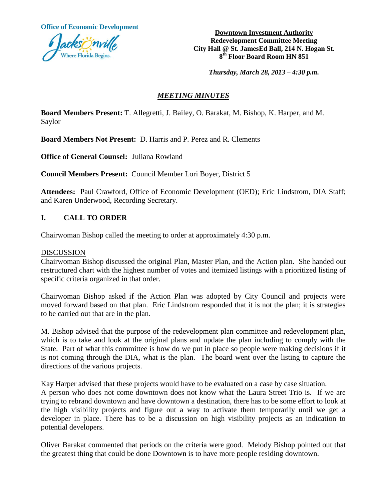**Office of Economic Development**



**Downtown Investment Authority Redevelopment Committee Meeting City Hall @ St. JamesEd Ball, 214 N. Hogan St. 8 th Floor Board Room HN 851**

*Thursday, March 28, 2013 – 4:30 p.m.*

# *MEETING MINUTES*

**Board Members Present:** T. Allegretti, J. Bailey, O. Barakat, M. Bishop, K. Harper, and M. Saylor

**Board Members Not Present:** D. Harris and P. Perez and R. Clements

**Office of General Counsel:** Juliana Rowland

**Council Members Present:** Council Member Lori Boyer, District 5

**Attendees:** Paul Crawford, Office of Economic Development (OED); Eric Lindstrom, DIA Staff; and Karen Underwood, Recording Secretary.

### **I. CALL TO ORDER**

Chairwoman Bishop called the meeting to order at approximately 4:30 p.m.

#### DISCUSSION

Chairwoman Bishop discussed the original Plan, Master Plan, and the Action plan. She handed out restructured chart with the highest number of votes and itemized listings with a prioritized listing of specific criteria organized in that order.

Chairwoman Bishop asked if the Action Plan was adopted by City Council and projects were moved forward based on that plan. Eric Lindstrom responded that it is not the plan; it is strategies to be carried out that are in the plan.

M. Bishop advised that the purpose of the redevelopment plan committee and redevelopment plan, which is to take and look at the original plans and update the plan including to comply with the State. Part of what this committee is how do we put in place so people were making decisions if it is not coming through the DIA, what is the plan. The board went over the listing to capture the directions of the various projects.

Kay Harper advised that these projects would have to be evaluated on a case by case situation.

A person who does not come downtown does not know what the Laura Street Trio is. If we are trying to rebrand downtown and have downtown a destination, there has to be some effort to look at the high visibility projects and figure out a way to activate them temporarily until we get a developer in place. There has to be a discussion on high visibility projects as an indication to potential developers.

Oliver Barakat commented that periods on the criteria were good. Melody Bishop pointed out that the greatest thing that could be done Downtown is to have more people residing downtown.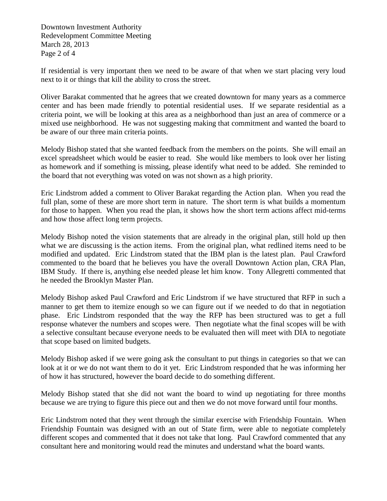Downtown Investment Authority Redevelopment Committee Meeting March 28, 2013 Page 2 of 4

If residential is very important then we need to be aware of that when we start placing very loud next to it or things that kill the ability to cross the street.

Oliver Barakat commented that he agrees that we created downtown for many years as a commerce center and has been made friendly to potential residential uses. If we separate residential as a criteria point, we will be looking at this area as a neighborhood than just an area of commerce or a mixed use neighborhood. He was not suggesting making that commitment and wanted the board to be aware of our three main criteria points.

Melody Bishop stated that she wanted feedback from the members on the points. She will email an excel spreadsheet which would be easier to read. She would like members to look over her listing as homework and if something is missing, please identify what need to be added. She reminded to the board that not everything was voted on was not shown as a high priority.

Eric Lindstrom added a comment to Oliver Barakat regarding the Action plan. When you read the full plan, some of these are more short term in nature. The short term is what builds a momentum for those to happen. When you read the plan, it shows how the short term actions affect mid-terms and how those affect long term projects.

Melody Bishop noted the vision statements that are already in the original plan, still hold up then what we are discussing is the action items. From the original plan, what redlined items need to be modified and updated. Eric Lindstrom stated that the IBM plan is the latest plan. Paul Crawford commented to the board that he believes you have the overall Downtown Action plan, CRA Plan, IBM Study. If there is, anything else needed please let him know. Tony Allegretti commented that he needed the Brooklyn Master Plan.

Melody Bishop asked Paul Crawford and Eric Lindstrom if we have structured that RFP in such a manner to get them to itemize enough so we can figure out if we needed to do that in negotiation phase. Eric Lindstrom responded that the way the RFP has been structured was to get a full response whatever the numbers and scopes were. Then negotiate what the final scopes will be with a selective consultant because everyone needs to be evaluated then will meet with DIA to negotiate that scope based on limited budgets.

Melody Bishop asked if we were going ask the consultant to put things in categories so that we can look at it or we do not want them to do it yet. Eric Lindstrom responded that he was informing her of how it has structured, however the board decide to do something different.

Melody Bishop stated that she did not want the board to wind up negotiating for three months because we are trying to figure this piece out and then we do not move forward until four months.

Eric Lindstrom noted that they went through the similar exercise with Friendship Fountain. When Friendship Fountain was designed with an out of State firm, were able to negotiate completely different scopes and commented that it does not take that long. Paul Crawford commented that any consultant here and monitoring would read the minutes and understand what the board wants.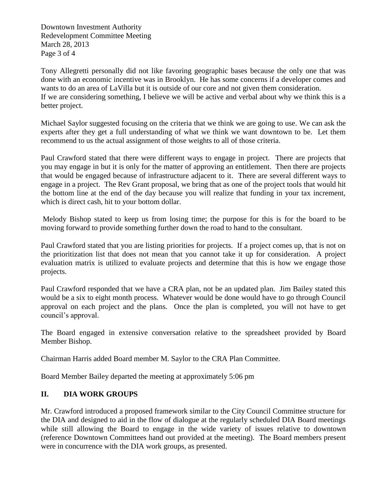Downtown Investment Authority Redevelopment Committee Meeting March 28, 2013 Page 3 of 4

Tony Allegretti personally did not like favoring geographic bases because the only one that was done with an economic incentive was in Brooklyn. He has some concerns if a developer comes and wants to do an area of LaVilla but it is outside of our core and not given them consideration. If we are considering something, I believe we will be active and verbal about why we think this is a better project.

Michael Saylor suggested focusing on the criteria that we think we are going to use. We can ask the experts after they get a full understanding of what we think we want downtown to be. Let them recommend to us the actual assignment of those weights to all of those criteria.

Paul Crawford stated that there were different ways to engage in project. There are projects that you may engage in but it is only for the matter of approving an entitlement. Then there are projects that would be engaged because of infrastructure adjacent to it. There are several different ways to engage in a project. The Rev Grant proposal, we bring that as one of the project tools that would hit the bottom line at the end of the day because you will realize that funding in your tax increment, which is direct cash, hit to your bottom dollar.

Melody Bishop stated to keep us from losing time; the purpose for this is for the board to be moving forward to provide something further down the road to hand to the consultant.

Paul Crawford stated that you are listing priorities for projects. If a project comes up, that is not on the prioritization list that does not mean that you cannot take it up for consideration. A project evaluation matrix is utilized to evaluate projects and determine that this is how we engage those projects.

Paul Crawford responded that we have a CRA plan, not be an updated plan. Jim Bailey stated this would be a six to eight month process. Whatever would be done would have to go through Council approval on each project and the plans. Once the plan is completed, you will not have to get council's approval.

The Board engaged in extensive conversation relative to the spreadsheet provided by Board Member Bishop.

Chairman Harris added Board member M. Saylor to the CRA Plan Committee.

Board Member Bailey departed the meeting at approximately 5:06 pm

# **II. DIA WORK GROUPS**

Mr. Crawford introduced a proposed framework similar to the City Council Committee structure for the DIA and designed to aid in the flow of dialogue at the regularly scheduled DIA Board meetings while still allowing the Board to engage in the wide variety of issues relative to downtown (reference Downtown Committees hand out provided at the meeting). The Board members present were in concurrence with the DIA work groups, as presented.